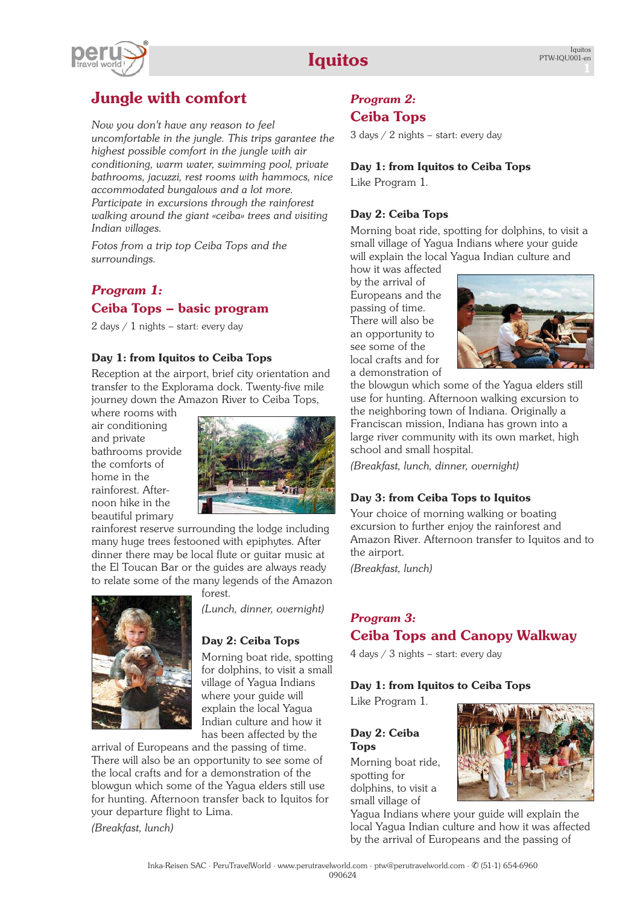# **Iquitos**

# **Jungle with comfort**

*Now you don't have any reason to feel uncomfortable in the jungle. This trips garantee the highest possible comfort in the jungle with air conditioning, warm water, swimming pool, private bathrooms, jacuzzi, rest rooms with hammocs, nice accommodated bungalows and a lot more. Participate in excursions through the rainforest walking around the giant «ceiba» trees and visiting Indian villages.*

*Fotos from a trip top [Ceiba](http://www.perutravelworld-experience.net/de/Ceiba/Ceiba-01.htm) Tops and the [surroundings.](http://www.perutravelworld-experience.net/de/Ceiba/Ceiba-01.htm)*

# *Program 1:* **Ceiba Tops – basic program**

2 days / 1 nights - start: every day

## **Day 1: from Iquitos to Ceiba Tops**

Reception at the airport, brief city orientation and transfer to the Explorama dock. Twenty-five mile journey down the Amazon River to Ceiba Tops,

where rooms with air conditioning and private bathrooms provide the comforts of home in the rainforest. Afternoon hike in the beautiful primary



rainforest reserve surrounding the lodge including many huge trees festooned with epiphytes. After dinner there may be local flute or guitar music at the El Toucan Bar or the guides are always ready to relate some of the many legends of the Amazon

forest.



*(Lunch, dinner, overnight)*

## **Day 2: Ceiba Tops**

Morning boat ride, spotting for dolphins, to visit a small village of Yagua Indians where your guide will explain the local Yagua Indian culture and how it has been affected by the

arrival of Europeans and the passing of time. There will also be an opportunity to see some of the local crafts and for a demonstration of the blowgun which some of the Yagua elders still use for hunting. Afternoon transfer back to Iquitos for your departure flight to Lima.

*(Breakfast, lunch)*

# *Program 2:* **Ceiba Tops**

3 days / 2 nights – start: every day

## **Day 1: from Iquitos to Ceiba Tops**

Like Program 1.

## **Day 2: Ceiba Tops**

Morning boat ride, spotting for dolphins, to visit a small village of Yagua Indians where your guide will explain the local Yagua Indian culture and

how it was affected by the arrival of Europeans and the passing of time. There will also be an opportunity to see some of the local crafts and for a demonstration of



the blowgun which some of the Yagua elders still use for hunting. Afternoon walking excursion to the neighboring town of Indiana. Originally a Franciscan mission, Indiana has grown into a large river community with its own market, high school and small hospital.

*(Breakfast, lunch, dinner, overnight)*

## **Day 3: from Ceiba Tops to Iquitos**

Your choice of morning walking or boating excursion to further enjoy the rainforest and Amazon River. Afternoon transfer to Iquitos and to the airport.

*(Breakfast, lunch)*

# *Program 3:* **Ceiba Tops and Canopy Walkway**

4 days / 3 nights – start: every day

# **Day 1: from Iquitos to Ceiba Tops**

Like Program 1.

## **Day 2: Ceiba Tops**

Morning boat ride, spotting for dolphins, to visit a small village of



Yagua Indians where your guide will explain the local Yagua Indian culture and how it was affected by the arrival of Europeans and the passing of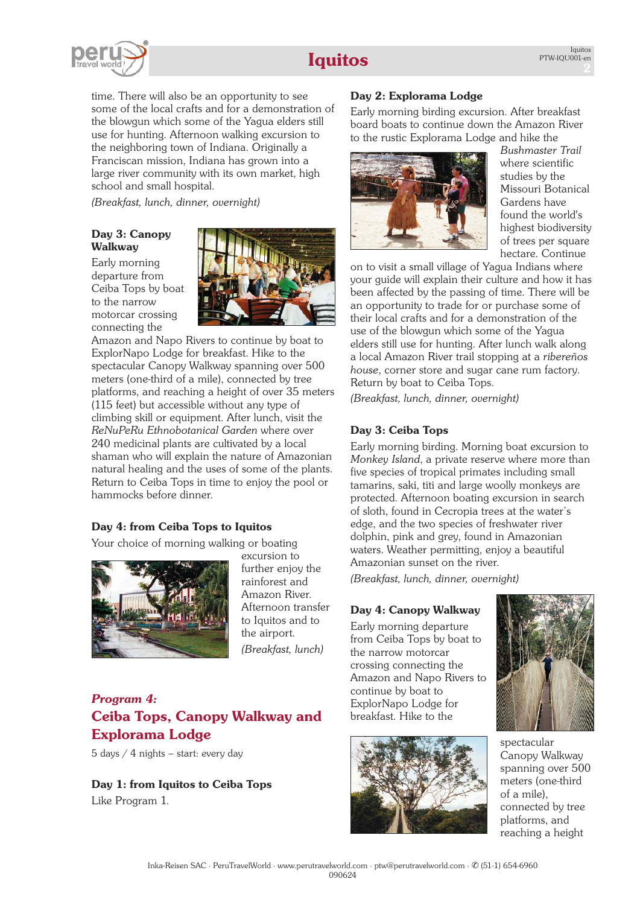# **Iquitos**



time. There will also be an opportunity to see some of the local crafts and for a demonstration of the blowgun which some of the Yagua elders still use for hunting. Afternoon walking excursion to the neighboring town of Indiana. Originally a Franciscan mission, Indiana has grown into a large river community with its own market, high school and small hospital.

*(Breakfast, lunch, dinner, overnight)*

## **Day 3: Canopy Walkway**

Early morning departure from Ceiba Tops by boat to the narrow motorcar crossing connecting the



Amazon and Napo Rivers to continue by boat to ExplorNapo Lodge for breakfast. Hike to the spectacular Canopy Walkway spanning over 500 meters (one-third of a mile), connected by tree platforms, and reaching a height of over 35 meters (115 feet) but accessible without any type of climbing skill or equipment. After lunch, visit the *ReNuPeRu Ethnobotanical Garden* where over 240 medicinal plants are cultivated by a local shaman who will explain the nature of Amazonian natural healing and the uses of some of the plants. Return to Ceiba Tops in time to enjoy the pool or hammocks before dinner.

# **Day 4: from Ceiba Tops to Iquitos**

Your choice of morning walking or boating



excursion to further enjoy the rainforest and Amazon River. Afternoon transfer to Iquitos and to the airport. *(Breakfast, lunch)*

# *Program 4:* **Ceiba Tops, Canopy Walkway and Explorama Lodge**

5 days / 4 nights – start: every day

**Day 1: from Iquitos to Ceiba Tops** Like Program 1.

# **Day 2: Explorama Lodge**

Early morning birding excursion. After breakfast board boats to continue down the Amazon River to the rustic Explorama Lodge and hike the



*Bushmaster Trail* where scientific studies by the Missouri Botanical Gardens have found the world's highest biodiversity of trees per square hectare. Continue

on to visit a small village of Yagua Indians where your guide will explain their culture and how it has been affected by the passing of time. There will be an opportunity to trade for or purchase some of their local crafts and for a demonstration of the use of the blowgun which some of the Yagua elders still use for hunting. After lunch walk along a local Amazon River trail stopping at a *ribereños house*, corner store and sugar cane rum factory. Return by boat to Ceiba Tops.

*(Breakfast, lunch, dinner, overnight)*

## **Day 3: Ceiba Tops**

Early morning birding. Morning boat excursion to *Monkey Island*, a private reserve where more than five species of tropical primates including small tamarins, saki, titi and large woolly monkeys are protected. Afternoon boating excursion in search of sloth, found in Cecropia trees at the water's edge, and the two species of freshwater river dolphin, pink and grey, found in Amazonian waters. Weather permitting, enjoy a beautiful Amazonian sunset on the river.

*(Breakfast, lunch, dinner, overnight)*

## **Day 4: Canopy Walkway**

Early morning departure from Ceiba Tops by boat to the narrow motorcar crossing connecting the Amazon and Napo Rivers to continue by boat to ExplorNapo Lodge for breakfast. Hike to the





spectacular Canopy Walkway spanning over 500 meters (one-third of a mile), connected by tree platforms, and reaching a height